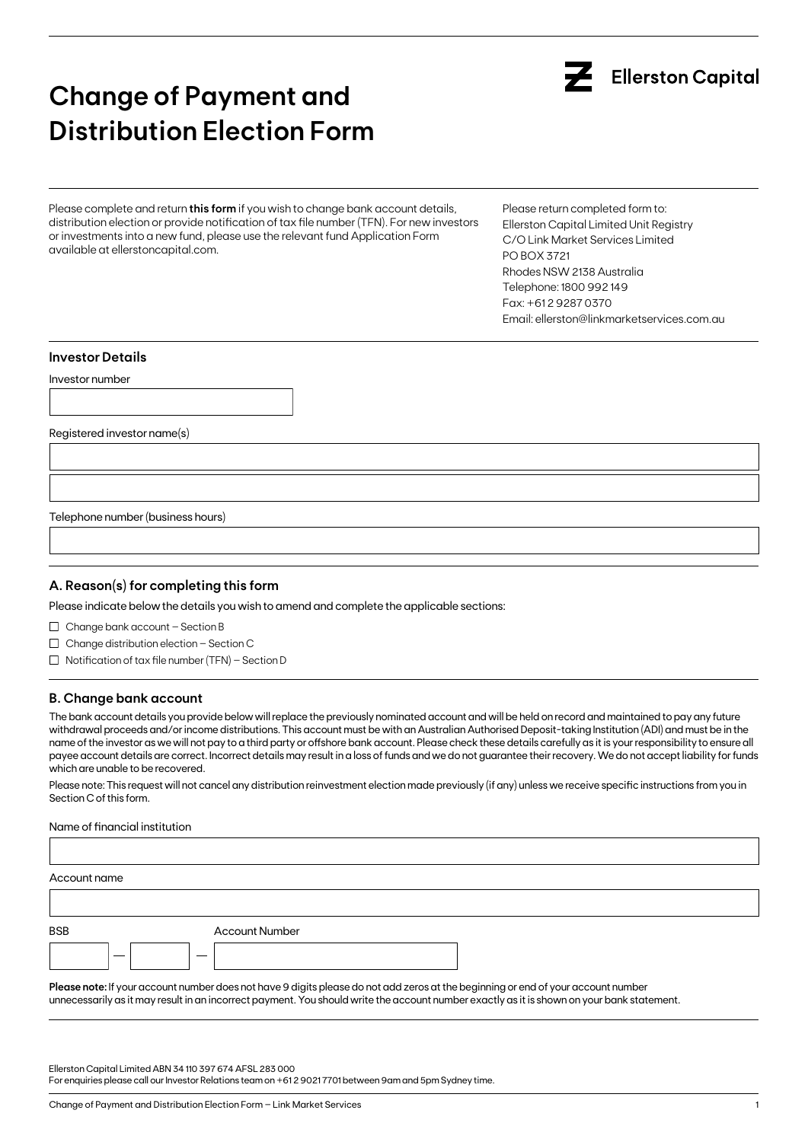# **Change of Payment and Distribution Election Form**

Please complete and return **this form** if you wish to change bank account details, distribution election or provide notification of tax file number (TFN). For new investors or investments into a new fund, please use the relevant fund Application Form available at ellerstoncapital.com.

Please return completed form to: Ellerston Capital Limited Unit Registry C/O Link Market Services Limited PO BOX 3721 Rhodes NSW 2138 Australia Telephone: 1800 992 149 Fax: +61 2 9287 0370 Email: ellerston@linkmarketservices.com.au

#### **Investor Details**

Investor number

Registered investor name(s)

Telephone number (business hours)

## **A. Reason(s) for completing this form**

Please indicate below the details you wish to amend and complete the applicable sections:

 $\Box$  Change bank account - Section B

- $\Box$  Change distribution election Section C
- $\Box$  Notification of tax file number (TFN) Section D

## **B. Change bank account**

The bank account details you provide below will replace the previously nominated account and will be held on record and maintained to pay any future withdrawal proceeds and/or income distributions. This account must be with an Australian Authorised Deposit-taking Institution (ADI) and must be in the name of the investor as we will not pay to a third party or offshore bank account. Please check these details carefully as it is your responsibility to ensure all payee account details are correct. Incorrect details may result in a loss of funds and we do not guarantee their recovery. We do not accept liability for funds which are unable to be recovered.

Please note: This request will not cancel any distribution reinvestment election made previously (if any) unless we receive specific instructions from you in Section C of this form.

Name of financial institution

| Account name   |                       |  |  |
|----------------|-----------------------|--|--|
|                |                       |  |  |
| <b>BSB</b>     | <b>Account Number</b> |  |  |
|                |                       |  |  |
| <b>Section</b> |                       |  |  |

**Please note:** If your account number does not have 9 digits please do not add zeros at the beginning or end of your account number unnecessarily as it may result in an incorrect payment. You should write the account number exactly as it is shown on your bank statement.

Ellerston Capital Limited ABN 34 110 397 674 AFSL 283 000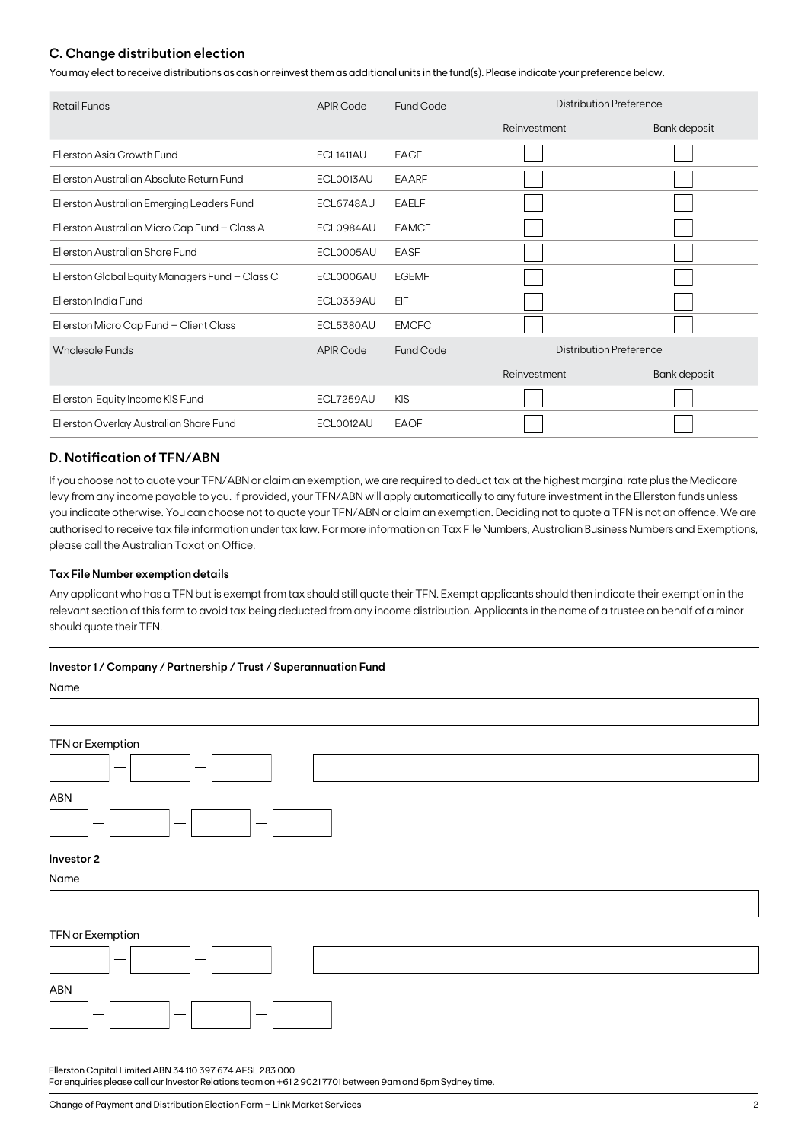## **C. Change distribution election**

You may elect to receive distributions as cash or reinvest them as additional units in the fund(s). Please indicate your preference below.

| Retail Funds                                    | <b>APIR Code</b> | Distribution Preference<br>Fund Code |                         |              |
|-------------------------------------------------|------------------|--------------------------------------|-------------------------|--------------|
|                                                 |                  |                                      | Reinvestment            | Bank deposit |
| Ellerston Asia Growth Fund                      | ECL1411AU        | EAGF                                 |                         |              |
| Ellerston Australian Absolute Return Fund       | ECL0013AU        | <b>EAARF</b>                         |                         |              |
| Ellerston Australian Emerging Leaders Fund      | ECL6748AU        | <b>EAELF</b>                         |                         |              |
| Ellerston Australian Micro Cap Fund - Class A   | ECL0984AU        | <b>EAMCF</b>                         |                         |              |
| Ellerston Australian Share Fund                 | ECL0005AU        | <b>EASF</b>                          |                         |              |
| Ellerston Global Equity Managers Fund - Class C | ECL0006AU        | <b>EGEMF</b>                         |                         |              |
| Ellerston India Fund                            | ECL0339AU        | EIF                                  |                         |              |
| Ellerston Micro Cap Fund - Client Class         | ECL5380AU        | <b>EMCFC</b>                         |                         |              |
| <b>Wholesale Funds</b>                          | <b>APIR Code</b> | <b>Fund Code</b>                     | Distribution Preference |              |
|                                                 |                  |                                      | Reinvestment            | Bank deposit |
| Ellerston Equity Income KIS Fund                | ECL7259AU        | <b>KIS</b>                           |                         |              |
| Ellerston Overlay Australian Share Fund         | ECLO012AU        | <b>EAOF</b>                          |                         |              |

## **D. Notification of TFN/ABN**

If you choose not to quote your TFN/ABN or claim an exemption, we are required to deduct tax at the highest marginal rate plus the Medicare levy from any income payable to you. If provided, your TFN/ABN will apply automatically to any future investment in the Ellerston funds unless you indicate otherwise. You can choose not to quote your TFN/ABN or claim an exemption. Deciding not to quote a TFN is not an offence. We are authorised to receive tax file information under tax law. For more information on Tax File Numbers, Australian Business Numbers and Exemptions, please call the Australian Taxation Office.

## **Tax File Number exemption details**

Any applicant who has a TFN but is exempt from tax should still quote their TFN. Exempt applicants should then indicate their exemption in the relevant section of this form to avoid tax being deducted from any income distribution. Applicants in the name of a trustee on behalf of a minor should quote their TFN.

## **Investor 1 / Company / Partnership / Trust / Superannuation Fund**

| Name                                                                  |
|-----------------------------------------------------------------------|
|                                                                       |
| TFN or Exemption                                                      |
|                                                                       |
| ABN                                                                   |
| $\overline{\phantom{m}}$<br>$\hspace{0.1mm}-\hspace{0.1mm}$<br>$\sim$ |
| Investor 2                                                            |
| Name                                                                  |
|                                                                       |
| TFN or Exemption                                                      |
|                                                                       |
| ABN                                                                   |
| $\hspace{0.05cm}$<br>$\qquad \qquad$                                  |

Ellerston Capital Limited ABN 34 110 397 674 AFSL 283 000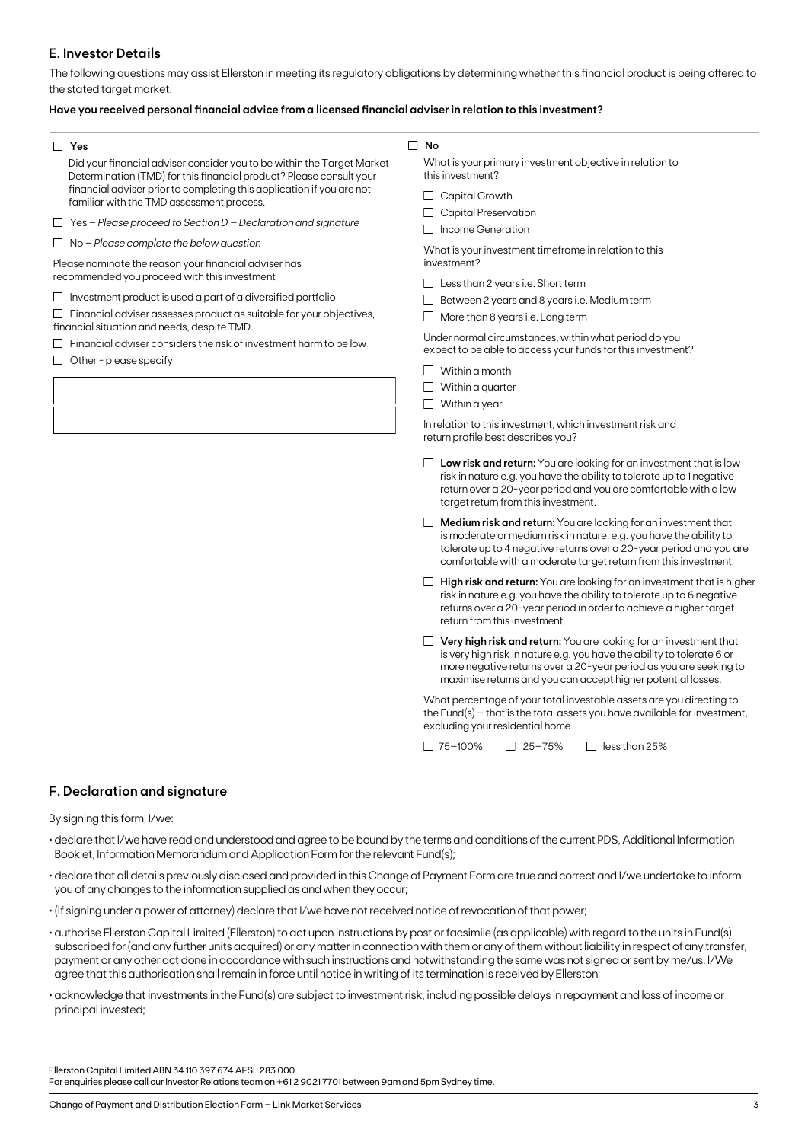## **E. Investor Details**

The following questions may assist Ellerston in meeting its regulatory obligations by determining whether this financial product is being offered to the stated target market.

## **Have you received personal financial advice from a licensed financial adviser in relation to this investment?**

#### **Yes**

Did your financial adviser consider you to be within the Target Market Determination (TMD) for this financial product? Please consult your financial adviser prior to completing this application if you are not familiar with the TMD assessment process.

Yes – *Please proceed to Section D – Declaration and signature*

No – *Please complete the below question*

Please nominate the reason your financial adviser has recommended you proceed with this investment

 $\Box$  Investment product is used a part of a diversified portfolio

 $\Box$  Financial adviser assesses product as suitable for your objectives, financial situation and needs, despite TMD.

 $\Box$  Financial adviser considers the risk of investment harm to be low

 $\Box$  Other - please specify

#### **No**

What is your primary investment objective in relation to this investment?

- Capital Growth
- Capital Preservation
- Income Generation

What is your investment timeframe in relation to this investment?

- $\Box$  Less than 2 years i.e. Short term
- $\Box$  Between 2 years and 8 years i.e. Medium term
- $\Box$  More than 8 years i.e. Long term

Under normal circumstances, within what period do you expect to be able to access your funds for this investment?

- $\Box$  Within a month
- $\Box$  Within a quarter
- $\Box$  Within a year

In relation to this investment, which investment risk and return profile best describes you?

- **Low risk and return:** You are looking for an investment that is low risk in nature e.g. you have the ability to tolerate up to 1 negative return over a 20-year period and you are comfortable with a low target return from this investment.
- **Medium risk and return:** You are looking for an investment that is moderate or medium risk in nature, e.g. you have the ability to tolerate up to 4 negative returns over a 20-year period and you are comfortable with a moderate target return from this investment.
- **High risk and return:** You are looking for an investment that is higher risk in nature e.g. you have the ability to tolerate up to 6 negative returns over a 20-year period in order to achieve a higher target return from this investment.
- **Very high risk and return:** You are looking for an investment that is very high risk in nature e.g. you have the ability to tolerate 6 or more negative returns over a 20-year period as you are seeking to maximise returns and you can accept higher potential losses.

What percentage of your total investable assets are you directing to the Fund(s) – that is the total assets you have available for investment, excluding your residential home

 $\Box$  75–100%  $\Box$  25–75%  $\Box$  less than 25%

## **F. Declaration and signature**

By signing this form, I/we:

- declare that I/we have read and understood and agree to be bound by the terms and conditions of the current PDS, Additional Information Booklet, Information Memorandum and Application Form for the relevant Fund(s);
- declare that all details previously disclosed and provided in this Change of Payment Form are true and correct and I/we undertake to inform you of any changes to the information supplied as and when they occur;
- (if signing under a power of attorney) declare that I/we have not received notice of revocation of that power;
- authorise Ellerston Capital Limited (Ellerston) to act upon instructions by post or facsimile (as applicable) with regard to the units in Fund(s) subscribed for (and any further units acquired) or any matter in connection with them or any of them without liability in respect of any transfer, payment or any other act done in accordance with such instructions and notwithstanding the same was not signed or sent by me/us. I/We agree that this authorisation shall remain in force until notice in writing of its termination is received by Ellerston;
- acknowledge that investments in the Fund(s) are subject to investment risk, including possible delays in repayment and loss of income or principal invested;

Ellerston Capital Limited ABN 34 110 397 674 AFSL 283 000